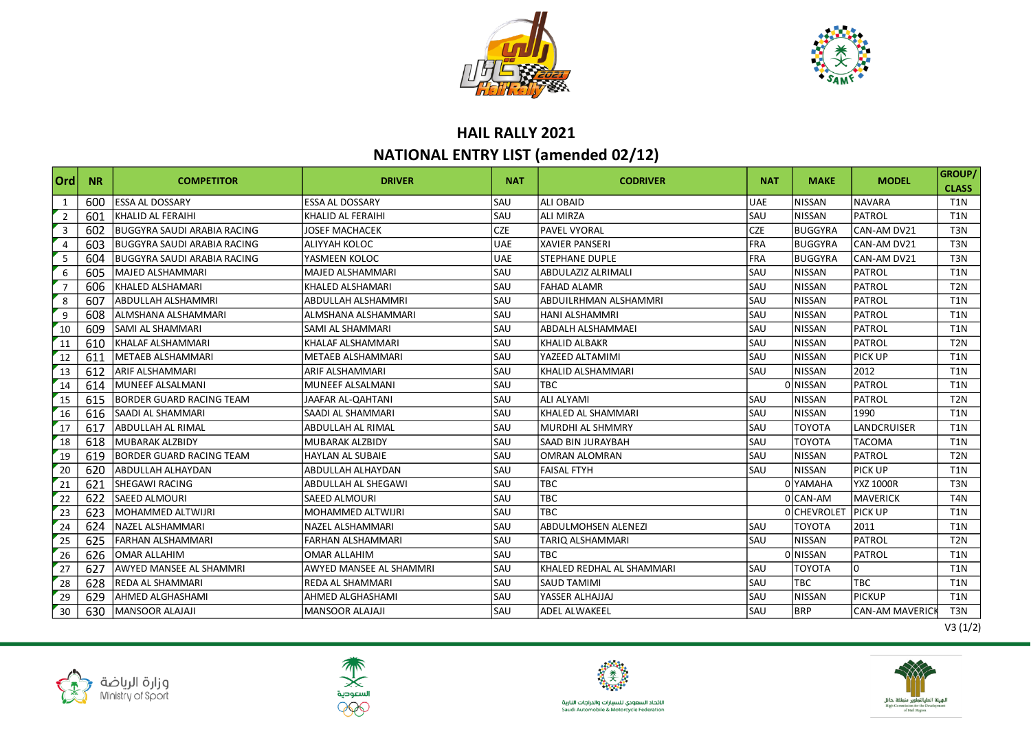



## **HAIL RALLY 2021 NATIONAL ENTRY LIST (amended 02/12)**

| Ord            | <b>NR</b> | <b>COMPETITOR</b>                  | <b>DRIVER</b>            | <b>NAT</b> | <b>CODRIVER</b>            | <b>NAT</b> | <b>MAKE</b>        | <b>MODEL</b>          | GROUP/<br><b>CLASS</b> |
|----------------|-----------|------------------------------------|--------------------------|------------|----------------------------|------------|--------------------|-----------------------|------------------------|
| 1              | 600       | <b>ESSA AL DOSSARY</b>             | <b>ESSA AL DOSSARY</b>   | SAU        | <b>ALI OBAID</b>           | <b>UAE</b> | <b>NISSAN</b>      | <b>NAVARA</b>         | T <sub>1</sub> N       |
| $\overline{2}$ | 601       | KHALID AL FERAIHI                  | KHALID AL FERAIHI        | SAU        | <b>ALI MIRZA</b>           | SAU        | <b>NISSAN</b>      | PATROL                | T <sub>1</sub> N       |
| $\overline{3}$ | 602       | <b>BUGGYRA SAUDI ARABIA RACING</b> | <b>JOSEF MACHACEK</b>    | <b>CZE</b> | <b>PAVEL VYORAL</b>        | <b>CZE</b> | <b>BUGGYRA</b>     | CAN-AM DV21           | T <sub>3</sub> N       |
| $\overline{4}$ | 603       | <b>BUGGYRA SAUDI ARABIA RACING</b> | ALIYYAH KOLOC            | <b>UAE</b> | <b>XAVIER PANSERI</b>      | <b>FRA</b> | <b>BUGGYRA</b>     | CAN-AM DV21           | T <sub>3</sub> N       |
| - 5            | 604       | BUGGYRA SAUDI ARABIA RACING        | YASMEEN KOLOC            | <b>UAE</b> | <b>STEPHANE DUPLE</b>      | <b>FRA</b> | <b>BUGGYRA</b>     | CAN-AM DV21           | T <sub>3</sub> N       |
| 6              | 605       | MAJED ALSHAMMARI                   | <b>MAJED ALSHAMMARI</b>  | SAU        | <b>ABDULAZIZ ALRIMALI</b>  | SAU        | <b>NISSAN</b>      | PATROL                | T <sub>1</sub> N       |
| $\overline{7}$ | 606       | KHALED ALSHAMARI                   | KHALED ALSHAMARI         | <b>SAU</b> | <b>FAHAD ALAMR</b>         | SAU        | <b>NISSAN</b>      | PATROL                | T <sub>2N</sub>        |
| 8              | 607       | ABDULLAH ALSHAMMRI                 | ABDULLAH ALSHAMMRI       | SAU        | ABDUILRHMAN ALSHAMMRI      | SAU        | <b>NISSAN</b>      | <b>PATROL</b>         | T <sub>1</sub> N       |
| 9              | 608       | ALMSHANA ALSHAMMARI                | ALMSHANA ALSHAMMARI      | SAU        | <b>HANI ALSHAMMRI</b>      | SAU        | <b>NISSAN</b>      | PATROL                | T <sub>1</sub> N       |
| 10             | 609       | SAMI AL SHAMMARI                   | <b>SAMI AL SHAMMARI</b>  | SAU        | <b>ABDALH ALSHAMMAEI</b>   | SAU        | <b>NISSAN</b>      | PATROL                | T <sub>1</sub> N       |
| 11             | 610       | KHALAF ALSHAMMARI                  | KHALAF ALSHAMMARI        | SAU        | <b>KHALID ALBAKR</b>       | SAU        | <b>NISSAN</b>      | PATROL                | T <sub>2N</sub>        |
| 12             | 611       | <b>METAEB ALSHAMMARI</b>           | <b>METAEB ALSHAMMARI</b> | SAU        | YAZEED ALTAMIMI            | SAU        | <b>NISSAN</b>      | <b>PICK UP</b>        | T <sub>1</sub> N       |
| 13             | 612       | ARIF ALSHAMMARI                    | ARIF ALSHAMMARI          | SAU        | KHALID ALSHAMMARI          | SAU        | <b>NISSAN</b>      | 2012                  | T1N                    |
| 14             | 614       | MUNEEF ALSALMANI                   | <b>MUNEEF ALSALMANI</b>  | SAU        | TBC.                       |            | 0 NISSAN           | PATROL                | T <sub>1</sub> N       |
| 15             | 615       | <b>BORDER GUARD RACING TEAM</b>    | JAAFAR AL-QAHTANI        | SAU        | <b>ALI ALYAMI</b>          | SAU        | <b>NISSAN</b>      | <b>PATROL</b>         | T <sub>2N</sub>        |
| 16             | 616       | SAADI AL SHAMMARI                  | SAADI AL SHAMMARI        | SAU        | KHALED AL SHAMMARI         | SAU        | <b>NISSAN</b>      | 1990                  | T <sub>1</sub> N       |
| 17             | 617       | ABDULLAH AL RIMAL                  | ABDULLAH AL RIMAL        | SAU        | <b>MURDHI AL SHMMRY</b>    | SAU        | <b>TOYOTA</b>      | LANDCRUISER           | T <sub>1</sub> N       |
| 18             | 618       | MUBARAK ALZBIDY                    | <b>MUBARAK ALZBIDY</b>   | SAU        | <b>SAAD BIN JURAYBAH</b>   | SAU        | <b>TOYOTA</b>      | <b>TACOMA</b>         | T <sub>1</sub> N       |
| 19             | 619       | <b>BORDER GUARD RACING TEAM</b>    | HAYLAN AL SUBAIE         | SAU        | <b>OMRAN ALOMRAN</b>       | SAU        | <b>NISSAN</b>      | PATROL                | T <sub>2N</sub>        |
| 20             | 620       | ABDULLAH ALHAYDAN                  | ABDULLAH ALHAYDAN        | SAU        | <b>FAISAL FTYH</b>         | SAU        | <b>NISSAN</b>      | PICK UP               | T <sub>1</sub> N       |
| $\sqrt{21}$    | 621       | SHEGAWI RACING                     | ABDULLAH AL SHEGAWI      | SAU        | TBC                        |            | 0 YAMAHA           | <b>YXZ 1000R</b>      | T <sub>3</sub> N       |
| 22             | 622       | <b>SAEED ALMOURI</b>               | <b>SAEED ALMOURI</b>     | SAU        | TBC                        |            | 0 CAN-AM           | <b>MAVERICK</b>       | T <sub>4</sub> N       |
| 23             | 623       | <b>MOHAMMED ALTWIJRI</b>           | <b>MOHAMMED ALTWIJRI</b> | SAU        | <b>TBC</b>                 |            | <b>O</b> CHEVROLET | <b>PICK UP</b>        | T <sub>1</sub> N       |
| 24             | 624       | NAZEL ALSHAMMARI                   | NAZEL ALSHAMMARI         | SAU        | <b>ABDULMOHSEN ALENEZI</b> | SAU        | <b>TOYOTA</b>      | 2011                  | T <sub>1</sub> N       |
| 25             | 625       | <b>FARHAN ALSHAMMARI</b>           | <b>FARHAN ALSHAMMARI</b> | SAU        | TARIQ ALSHAMMARI           | SAU        | <b>NISSAN</b>      | <b>PATROL</b>         | T <sub>2N</sub>        |
| 26             | 626       | <b>OMAR ALLAHIM</b>                | <b>OMAR ALLAHIM</b>      | SAU        | <b>TBC</b>                 |            | 0 NISSAN           | PATROL                | <b>T1N</b>             |
| 27             | 627       | <b>AWYED MANSEE AL SHAMMRI</b>     | AWYED MANSEE AL SHAMMRI  | SAU        | KHALED REDHAL AL SHAMMARI  | SAU        | <b>TOYOTA</b>      | 0                     | T <sub>1</sub> N       |
| 28             | 628       | <b>REDA AL SHAMMARI</b>            | REDA AL SHAMMARI         | SAU        | <b>SAUD TAMIMI</b>         | SAU        | <b>TBC</b>         | TBC                   | T <sub>1</sub> N       |
| 29             | 629       | AHMED ALGHASHAMI                   | AHMED ALGHASHAMI         | SAU        | YASSER ALHAJJAJ            | SAU        | <b>NISSAN</b>      | <b>PICKUP</b>         | T <sub>1</sub> N       |
| 30             | 630       | <b>MANSOOR ALAJAJI</b>             | <b>MANSOOR ALAJAJI</b>   | SAU        | <b>ADEL ALWAKEEL</b>       | SAU        | <b>BRP</b>         | <b>CAN-AM MAVERIC</b> | T <sub>3</sub> N       |











الاتحاد السعودي للسيارات والدراجات النارية<br>Saudi Automobile & Motorcycle Federation